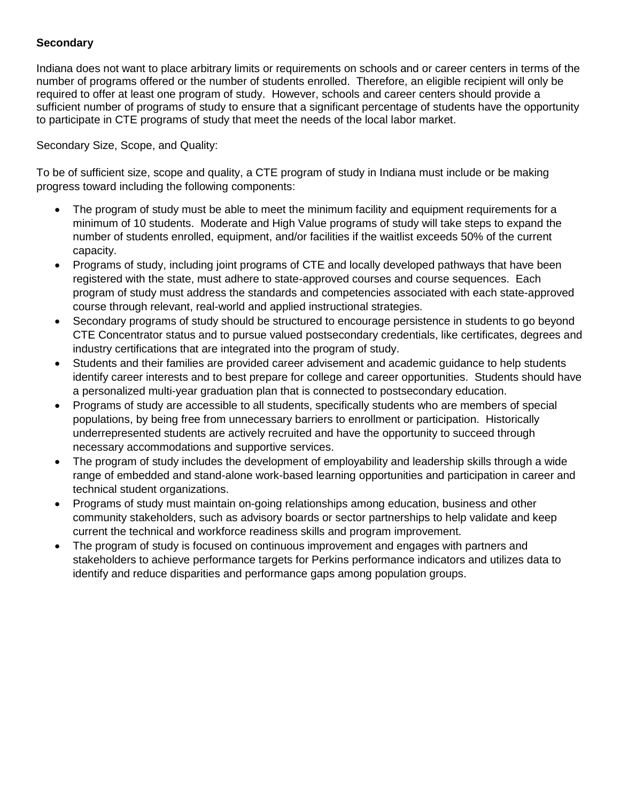## **Secondary**

Indiana does not want to place arbitrary limits or requirements on schools and or career centers in terms of the number of programs offered or the number of students enrolled. Therefore, an eligible recipient will only be required to offer at least one program of study. However, schools and career centers should provide a sufficient number of programs of study to ensure that a significant percentage of students have the opportunity to participate in CTE programs of study that meet the needs of the local labor market.

Secondary Size, Scope, and Quality:

To be of sufficient size, scope and quality, a CTE program of study in Indiana must include or be making progress toward including the following components:

- The program of study must be able to meet the minimum facility and equipment requirements for a minimum of 10 students. Moderate and High Value programs of study will take steps to expand the number of students enrolled, equipment, and/or facilities if the waitlist exceeds 50% of the current capacity.
- Programs of study, including joint programs of CTE and locally developed pathways that have been registered with the state, must adhere to state-approved courses and course sequences. Each program of study must address the standards and competencies associated with each state-approved course through relevant, real-world and applied instructional strategies.
- Secondary programs of study should be structured to encourage persistence in students to go beyond CTE Concentrator status and to pursue valued postsecondary credentials, like certificates, degrees and industry certifications that are integrated into the program of study.
- Students and their families are provided career advisement and academic guidance to help students identify career interests and to best prepare for college and career opportunities. Students should have a personalized multi-year graduation plan that is connected to postsecondary education.
- Programs of study are accessible to all students, specifically students who are members of special populations, by being free from unnecessary barriers to enrollment or participation. Historically underrepresented students are actively recruited and have the opportunity to succeed through necessary accommodations and supportive services.
- The program of study includes the development of employability and leadership skills through a wide range of embedded and stand-alone work-based learning opportunities and participation in career and technical student organizations.
- Programs of study must maintain on-going relationships among education, business and other community stakeholders, such as advisory boards or sector partnerships to help validate and keep current the technical and workforce readiness skills and program improvement.
- The program of study is focused on continuous improvement and engages with partners and stakeholders to achieve performance targets for Perkins performance indicators and utilizes data to identify and reduce disparities and performance gaps among population groups.